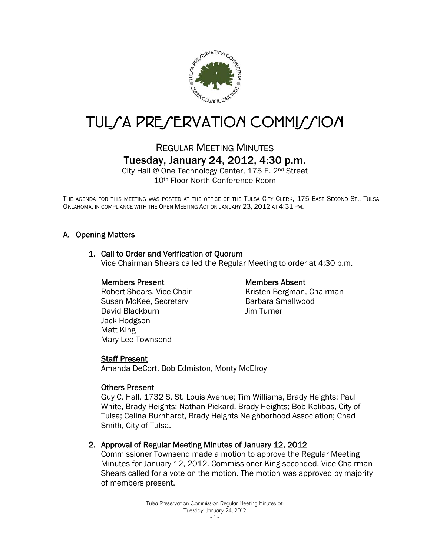

# TUL/A PRE/ERVATION COMMI//ION

# REGULAR MEETING MINUTES Tuesday, January 24, 2012, 4:30 p.m.

City Hall @ One Technology Center, 175 E. 2nd Street 10th Floor North Conference Room

THE AGENDA FOR THIS MEETING WAS POSTED AT THE OFFICE OF THE TULSA CITY CLERK, 175 EAST SECOND ST., TULSA OKLAHOMA, IN COMPLIANCE WITH THE OPEN MEETING ACT ON JANUARY 23, 2012 AT 4:31 PM.

## A. Opening Matters

#### 1. Call to Order and Verification of Quorum

Vice Chairman Shears called the Regular Meeting to order at 4:30 p.m.

#### Members Present

 Robert Shears, Vice-Chair Susan McKee, Secretary David Blackburn Jack Hodgson Matt King Mary Lee Townsend

#### Members Absent

Kristen Bergman, Chairman Barbara Smallwood Jim Turner

#### **Staff Present**

Amanda DeCort, Bob Edmiston, Monty McElroy

#### Others Present

Guy C. Hall, 1732 S. St. Louis Avenue; Tim Williams, Brady Heights; Paul White, Brady Heights; Nathan Pickard, Brady Heights; Bob Kolibas, City of Tulsa; Celina Burnhardt, Brady Heights Neighborhood Association; Chad Smith, City of Tulsa.

#### 2. Approval of Regular Meeting Minutes of January 12, 2012

Commissioner Townsend made a motion to approve the Regular Meeting Minutes for January 12, 2012. Commissioner King seconded. Vice Chairman Shears called for a vote on the motion. The motion was approved by majority of members present.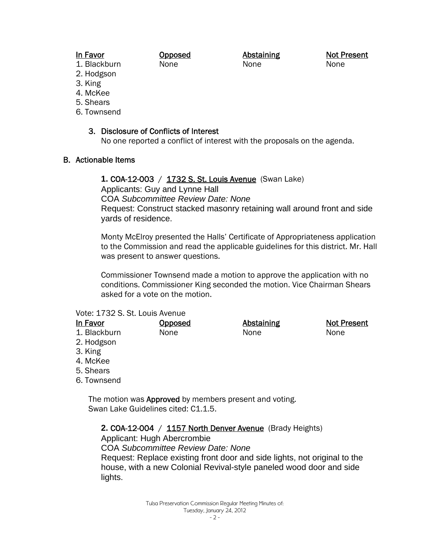## In Favor

Opposed None

Abstaining None

Not Present None

- 1. Blackburn 2. Hodgson
- 3. King
- 4. McKee
- 5. Shears
- 6. Townsend

## 3. Disclosure of Conflicts of Interest

No one reported a conflict of interest with the proposals on the agenda.

## B. Actionable Items

**1. COA-12-003** / 1732 S. St. Louis Avenue (Swan Lake)

Applicants: Guy and Lynne Hall

COA *Subcommittee Review Date: None* 

Request: Construct stacked masonry retaining wall around front and side yards of residence.

Monty McElroy presented the Halls' Certificate of Appropriateness application to the Commission and read the applicable guidelines for this district. Mr. Hall was present to answer questions.

Commissioner Townsend made a motion to approve the application with no conditions. Commissioner King seconded the motion. Vice Chairman Shears asked for a vote on the motion.

## Vote: 1732 S. St. Louis Avenue

| <u>Opposed</u> | <b>Abstaining</b> | <b>Not Present</b> |
|----------------|-------------------|--------------------|
| None           | None              | None               |
|                |                   |                    |
|                |                   |                    |
|                |                   |                    |
|                |                   |                    |
|                |                   |                    |
|                |                   |                    |

The motion was **Approved** by members present and voting. Swan Lake Guidelines cited: C1.1.5.

2. COA-12-004 / 1157 North Denver Avenue (Brady Heights)

Applicant: Hugh Abercrombie

COA *Subcommittee Review Date: None* 

Request: Replace existing front door and side lights, not original to the house, with a new Colonial Revival-style paneled wood door and side lights.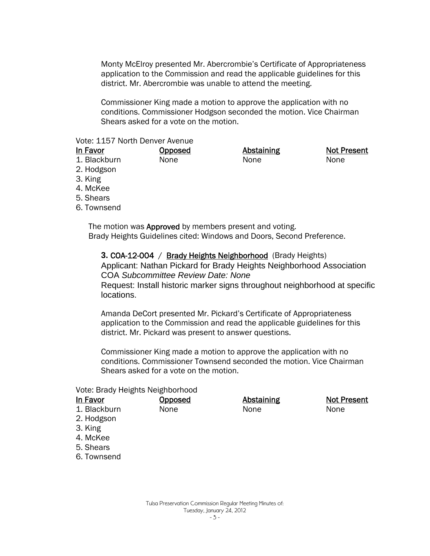Monty McElroy presented Mr. Abercrombie's Certificate of Appropriateness application to the Commission and read the applicable guidelines for this district. Mr. Abercrombie was unable to attend the meeting.

Commissioner King made a motion to approve the application with no conditions. Commissioner Hodgson seconded the motion. Vice Chairman Shears asked for a vote on the motion.

### Vote: 1157 North Denver Avenue

| In Favor          | <u>Opposed</u> | <b>Abstaining</b> | <b>Not Present</b> |
|-------------------|----------------|-------------------|--------------------|
| 1. Blackburn      | None           | None              | None               |
| 2. Hodgson        |                |                   |                    |
| $\Omega$ $1/2\pi$ |                |                   |                    |

- 3. King
- 4. McKee
- 5. Shears
- 6. Townsend

The motion was **Approved** by members present and voting. Brady Heights Guidelines cited: Windows and Doors, Second Preference.

#### **3. COA-12-004** / Brady Heights Neighborhood (Brady Heights)

Applicant: Nathan Pickard for Brady Heights Neighborhood Association COA *Subcommittee Review Date: None* 

Request: Install historic marker signs throughout neighborhood at specific locations.

Amanda DeCort presented Mr. Pickard's Certificate of Appropriateness application to the Commission and read the applicable guidelines for this district. Mr. Pickard was present to answer questions.

Commissioner King made a motion to approve the application with no conditions. Commissioner Townsend seconded the motion. Vice Chairman Shears asked for a vote on the motion.

#### Vote: Brady Heights Neighborhood

| In Favor     | Opposed | <b>Abstaining</b> | Not Present |
|--------------|---------|-------------------|-------------|
| 1. Blackburn | None    | None              | None        |
| 2. Hodgson   |         |                   |             |
| 3. King      |         |                   |             |
| 4. McKee     |         |                   |             |
| 5. Shears    |         |                   |             |
| 6. Townsend  |         |                   |             |
|              |         |                   |             |